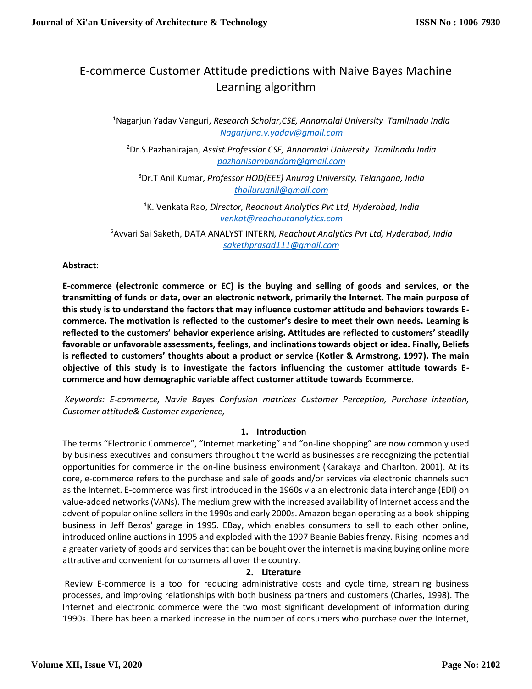# E-commerce Customer Attitude predictions with Naive Bayes Machine Learning algorithm

<sup>1</sup>Nagarjun Yadav Vanguri, *Research Scholar,CSE, Annamalai University Tamilnadu India [Nagarjuna.v.yadav@gmail.com](mailto:Nagarjuna.v.yadav@gmail.com)*

<sup>2</sup>Dr.S.Pazhanirajan, *Assist.Professior CSE, Annamalai University Tamilnadu India [pazhanisambandam@gmail.com](mailto:pazhanisambandam@gmail.com)*

<sup>3</sup>Dr.T Anil Kumar, *Professor HOD(EEE) Anurag University, Telangana, India [thalluruanil@gmail.com](mailto:thalluruanil@gmail.com)*

<sup>4</sup>K. Venkata Rao, *Director, Reachout Analytics Pvt Ltd, Hyderabad, India [venkat@reachoutanalytics.com](mailto:venkat@reachoutanalytics.com)*

<sup>5</sup>Avvari Sai Saketh, DATA ANALYST INTERN*, Reachout Analytics Pvt Ltd, Hyderabad, India sakethprasad111@gmail.com*

# **Abstract**:

**E-commerce (electronic commerce or EC) is the buying and selling of goods and services, or the transmitting of funds or data, over an electronic network, primarily the Internet. The main purpose of this study is to understand the factors that may influence customer attitude and behaviors towards Ecommerce. The motivation is reflected to the customer's desire to meet their own needs. Learning is reflected to the customers' behavior experience arising. Attitudes are reflected to customers' steadily favorable or unfavorable assessments, feelings, and inclinations towards object or idea. Finally, Beliefs is reflected to customers' thoughts about a product or service (Kotler & Armstrong, 1997). The main objective of this study is to investigate the factors influencing the customer attitude towards Ecommerce and how demographic variable affect customer attitude towards Ecommerce.** 

*Keywords: E-commerce, Navie Bayes Confusion matrices Customer Perception, Purchase intention, Customer attitude& Customer experience,*

# **1. Introduction**

The terms "Electronic Commerce", "Internet marketing" and "on-line shopping" are now commonly used by business executives and consumers throughout the world as businesses are recognizing the potential opportunities for commerce in the on-line business environment (Karakaya and Charlton, 2001). At its core, e-commerce refers to the purchase and sale of goods and/or services via electronic channels such as the Internet. E-commerce was first introduced in the 1960s via an electronic data interchange (EDI) on value-added networks (VANs). The medium grew with the increased availability of Internet access and the advent of popular online sellers in the 1990s and early 2000s. Amazon began operating as a book-shipping business in Jeff Bezos' garage in 1995. EBay, which enables consumers to sell to each other online, introduced online auctions in 1995 and exploded with the 1997 Beanie Babies frenzy. Rising incomes and a greater variety of goods and services that can be bought over the internet is making buying online more attractive and convenient for consumers all over the country.

#### **2. Literature**

Review E-commerce is a tool for reducing administrative costs and cycle time, streaming business processes, and improving relationships with both business partners and customers (Charles, 1998). The Internet and electronic commerce were the two most significant development of information during 1990s. There has been a marked increase in the number of consumers who purchase over the Internet,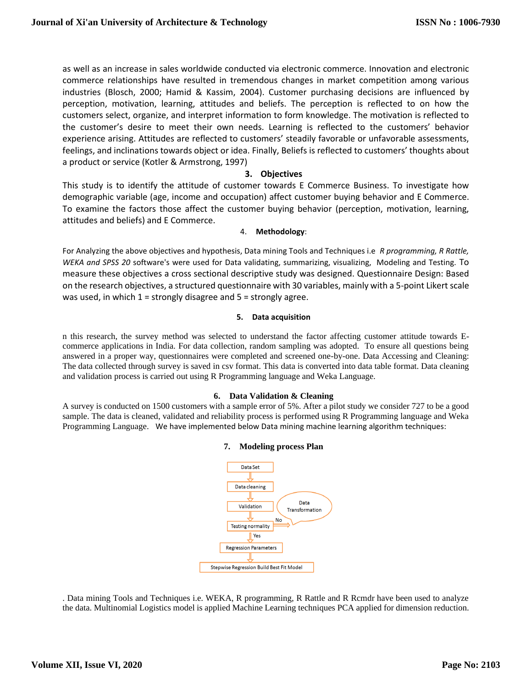as well as an increase in sales worldwide conducted via electronic commerce. Innovation and electronic commerce relationships have resulted in tremendous changes in market competition among various industries (Blosch, 2000; Hamid & Kassim, 2004). Customer purchasing decisions are influenced by perception, motivation, learning, attitudes and beliefs. The perception is reflected to on how the customers select, organize, and interpret information to form knowledge. The motivation is reflected to the customer's desire to meet their own needs. Learning is reflected to the customers' behavior experience arising. Attitudes are reflected to customers' steadily favorable or unfavorable assessments, feelings, and inclinations towards object or idea. Finally, Beliefs is reflected to customers' thoughts about a product or service (Kotler & Armstrong, 1997)

## **3. Objectives**

This study is to identify the attitude of customer towards E Commerce Business. To investigate how demographic variable (age, income and occupation) affect customer buying behavior and E Commerce. To examine the factors those affect the customer buying behavior (perception, motivation, learning, attitudes and beliefs) and E Commerce.

#### 4. **Methodology**:

For Analyzing the above objectives and hypothesis, Data mining Tools and Techniques i.e *R programming, R Rattle, WEKA and SPSS 20* software's were used for Data validating, summarizing, visualizing, Modeling and Testing. To measure these objectives a cross sectional descriptive study was designed. Questionnaire Design: Based on the research objectives, a structured questionnaire with 30 variables, mainly with a 5-point Likert scale was used, in which  $1 =$  strongly disagree and  $5 =$  strongly agree.

#### **5. Data acquisition**

n this research, the survey method was selected to understand the factor affecting customer attitude towards Ecommerce applications in India. For data collection, random sampling was adopted. To ensure all questions being answered in a proper way, questionnaires were completed and screened one-by-one. Data Accessing and Cleaning: The data collected through survey is saved in csv format. This data is converted into data table format. Data cleaning and validation process is carried out using R Programming language and Weka Language.

#### **6. Data Validation & Cleaning**

A survey is conducted on 1500 customers with a sample error of 5%. After a pilot study we consider 727 to be a good sample. The data is cleaned, validated and reliability process is performed using R Programming language and Weka Programming Language. We have implemented below Data mining machine learning algorithm techniques:

#### **7. Modeling process Plan**



. Data mining Tools and Techniques i.e. WEKA, R programming, R Rattle and R Rcmdr have been used to analyze the data. Multinomial Logistics model is applied Machine Learning techniques PCA applied for dimension reduction.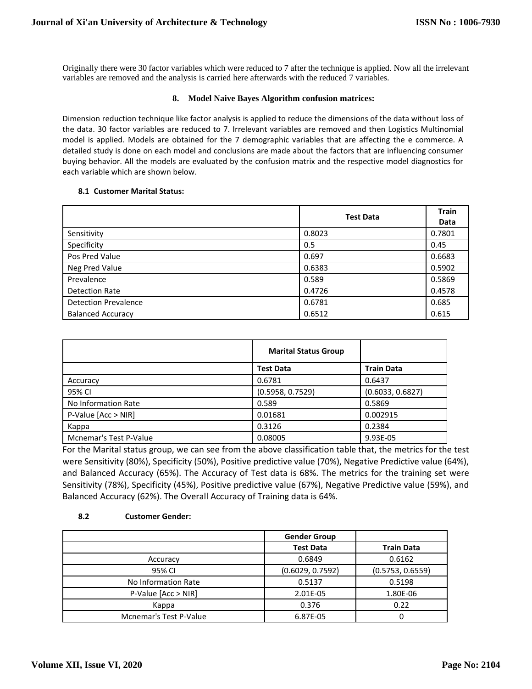Originally there were 30 factor variables which were reduced to 7 after the technique is applied. Now all the irrelevant variables are removed and the analysis is carried here afterwards with the reduced 7 variables.

#### **8. Model Naive Bayes Algorithm confusion matrices:**

Dimension reduction technique like factor analysis is applied to reduce the dimensions of the data without loss of the data. 30 factor variables are reduced to 7. Irrelevant variables are removed and then Logistics Multinomial model is applied. Models are obtained for the 7 demographic variables that are affecting the e commerce. A detailed study is done on each model and conclusions are made about the factors that are influencing consumer buying behavior. All the models are evaluated by the confusion matrix and the respective model diagnostics for each variable which are shown below.

#### **8.1 Customer Marital Status:**

|                             | <b>Test Data</b> | <b>Train</b><br>Data |
|-----------------------------|------------------|----------------------|
| Sensitivity                 | 0.8023           | 0.7801               |
| Specificity                 | 0.5              | 0.45                 |
| Pos Pred Value              | 0.697            | 0.6683               |
| Neg Pred Value              | 0.6383           | 0.5902               |
| Prevalence                  | 0.589            | 0.5869               |
| <b>Detection Rate</b>       | 0.4726           | 0.4578               |
| <b>Detection Prevalence</b> | 0.6781           | 0.685                |
| <b>Balanced Accuracy</b>    | 0.6512           | 0.615                |

|                        | <b>Marital Status Group</b> |                   |
|------------------------|-----------------------------|-------------------|
|                        | <b>Test Data</b>            | <b>Train Data</b> |
| Accuracy               | 0.6781                      | 0.6437            |
| 95% CI                 | (0.5958, 0.7529)            | (0.6033, 0.6827)  |
| No Information Rate    | 0.589                       | 0.5869            |
| P-Value [Acc > NIR]    | 0.01681                     | 0.002915          |
| Kappa                  | 0.3126                      | 0.2384            |
| Mcnemar's Test P-Value | 0.08005                     | 9.93E-05          |

For the Marital status group, we can see from the above classification table that, the metrics for the test were Sensitivity (80%), Specificity (50%), Positive predictive value (70%), Negative Predictive value (64%), and Balanced Accuracy (65%). The Accuracy of Test data is 68%. The metrics for the training set were Sensitivity (78%), Specificity (45%), Positive predictive value (67%), Negative Predictive value (59%), and Balanced Accuracy (62%). The Overall Accuracy of Training data is 64%.

#### **8.2 Customer Gender:**

|                               | <b>Gender Group</b> |                   |
|-------------------------------|---------------------|-------------------|
|                               | <b>Test Data</b>    | <b>Train Data</b> |
| Accuracy                      | 0.6849              | 0.6162            |
| 95% CI                        | (0.6029, 0.7592)    | (0.5753, 0.6559)  |
| No Information Rate           | 0.5137              | 0.5198            |
| $P-Value$ [Acc > NIR]         | 2.01E-05            | 1.80E-06          |
| Kappa                         | 0.376               | 0.22              |
| <b>Mcnemar's Test P-Value</b> | 6.87E-05            | ი                 |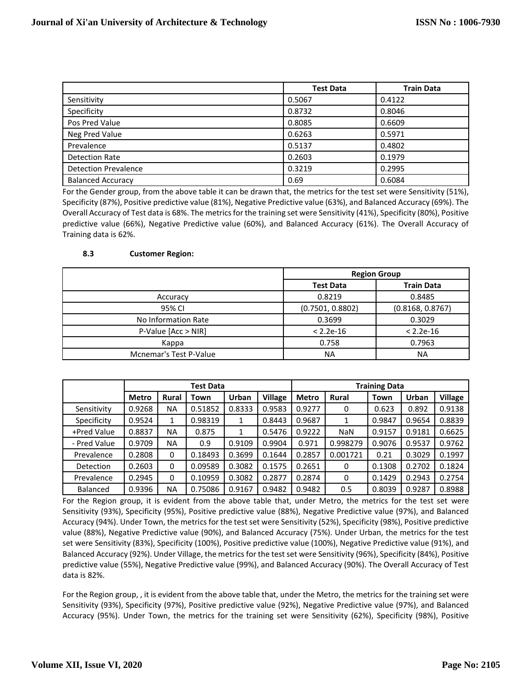|                             | <b>Test Data</b> | <b>Train Data</b> |
|-----------------------------|------------------|-------------------|
| Sensitivity                 | 0.5067           | 0.4122            |
| Specificity                 | 0.8732           | 0.8046            |
| Pos Pred Value              | 0.8085           | 0.6609            |
| Neg Pred Value              | 0.6263           | 0.5971            |
| Prevalence                  | 0.5137           | 0.4802            |
| <b>Detection Rate</b>       | 0.2603           | 0.1979            |
| <b>Detection Prevalence</b> | 0.3219           | 0.2995            |
| <b>Balanced Accuracy</b>    | 0.69             | 0.6084            |

For the Gender group, from the above table it can be drawn that, the metrics for the test set were Sensitivity (51%), Specificity (87%), Positive predictive value (81%), Negative Predictive value (63%), and Balanced Accuracy (69%). The Overall Accuracy of Test data is 68%. The metrics for the training set were Sensitivity (41%), Specificity (80%), Positive predictive value (66%), Negative Predictive value (60%), and Balanced Accuracy (61%). The Overall Accuracy of Training data is 62%.

## **8.3 Customer Region:**

|                               | <b>Region Group</b> |                   |  |
|-------------------------------|---------------------|-------------------|--|
|                               | <b>Test Data</b>    | <b>Train Data</b> |  |
| Accuracy                      | 0.8219              | 0.8485            |  |
| 95% CI                        | (0.7501, 0.8802)    | (0.8168, 0.8767)  |  |
| No Information Rate           | 0.3699              | 0.3029            |  |
| P-Value [Acc > NIR]           | $< 2.2e-16$         | $< 2.2e-16$       |  |
| Kappa                         | 0.758               | 0.7963            |  |
| <b>Mcnemar's Test P-Value</b> | NA                  | ΝA                |  |

|                  | Test Data    |              |         |              |                | <b>Training Data</b> |              |        |        |                |
|------------------|--------------|--------------|---------|--------------|----------------|----------------------|--------------|--------|--------|----------------|
|                  | <b>Metro</b> | <b>Rural</b> | Town    | <b>Urban</b> | <b>Village</b> | <b>Metro</b>         | <b>Rural</b> | Town   | Urban  | <b>Village</b> |
| Sensitivity      | 0.9268       | <b>NA</b>    | 0.51852 | 0.8333       | 0.9583         | 0.9277               | 0            | 0.623  | 0.892  | 0.9138         |
| Specificity      | 0.9524       | 1            | 0.98319 |              | 0.8443         | 0.9687               |              | 0.9847 | 0.9654 | 0.8839         |
| +Pred Value      | 0.8837       | <b>NA</b>    | 0.875   |              | 0.5476         | 0.9222               | <b>NaN</b>   | 0.9157 | 0.9181 | 0.6625         |
| - Pred Value     | 0.9709       | <b>NA</b>    | 0.9     | 0.9109       | 0.9904         | 0.971                | 0.998279     | 0.9076 | 0.9537 | 0.9762         |
| Prevalence       | 0.2808       | 0            | 0.18493 | 0.3699       | 0.1644         | 0.2857               | 0.001721     | 0.21   | 0.3029 | 0.1997         |
| <b>Detection</b> | 0.2603       | 0            | 0.09589 | 0.3082       | 0.1575         | 0.2651               | 0            | 0.1308 | 0.2702 | 0.1824         |
| Prevalence       | 0.2945       | 0            | 0.10959 | 0.3082       | 0.2877         | 0.2874               | 0            | 0.1429 | 0.2943 | 0.2754         |
| <b>Balanced</b>  | 0.9396       | <b>NA</b>    | 0.75086 | 0.9167       | 0.9482         | 0.9482               | 0.5          | 0.8039 | 0.9287 | 0.8988         |

For the Region group, it is evident from the above table that, under Metro, the metrics for the test set were Sensitivity (93%), Specificity (95%), Positive predictive value (88%), Negative Predictive value (97%), and Balanced Accuracy (94%). Under Town, the metrics for the test set were Sensitivity (52%), Specificity (98%), Positive predictive value (88%), Negative Predictive value (90%), and Balanced Accuracy (75%). Under Urban, the metrics for the test set were Sensitivity (83%), Specificity (100%), Positive predictive value (100%), Negative Predictive value (91%), and Balanced Accuracy (92%). Under Village, the metrics for the test set were Sensitivity (96%), Specificity (84%), Positive predictive value (55%), Negative Predictive value (99%), and Balanced Accuracy (90%). The Overall Accuracy of Test data is 82%.

For the Region group, , it is evident from the above table that, under the Metro, the metrics for the training set were Sensitivity (93%), Specificity (97%), Positive predictive value (92%), Negative Predictive value (97%), and Balanced Accuracy (95%). Under Town, the metrics for the training set were Sensitivity (62%), Specificity (98%), Positive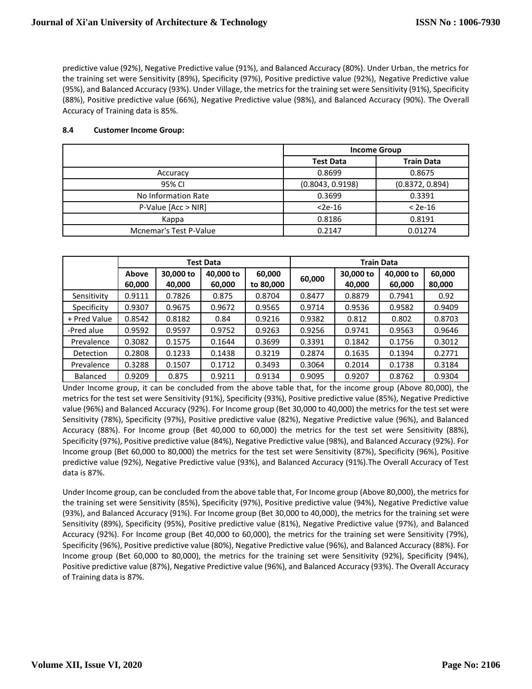predictive value (92%), Negative Predictive value (91%), and Balanced Accuracy (80%). Under Urban, the metrics for the training set were Sensitivity (89%), Specificity (97%), Positive predictive value (92%), Negative Predictive value (95%), and Balanced Accuracy (93%). Under Village, the metrics for the training set were Sensitivity (91%), Specificity (88%), Positive predictive value (66%), Negative Predictive value (98%), and Balanced Accuracy (90%). The Overall Accuracy of Training data is 85%.

#### **8.4 Customer Income Group:**

|                               | <b>Income Group</b> |                   |  |
|-------------------------------|---------------------|-------------------|--|
|                               | <b>Test Data</b>    | <b>Train Data</b> |  |
| Accuracy                      | 0.8699              | 0.8675            |  |
| 95% CI                        | (0.8043, 0.9198)    | (0.8372, 0.894)   |  |
| No Information Rate           | 0.3699              | 0.3391            |  |
| $P-Value$ [Acc > NIR]         | $<$ 2e-16           | $< 2e-16$         |  |
| Kappa                         | 0.8186              | 0.8191            |  |
| <b>Mcnemar's Test P-Value</b> | 0.2147              | 0.01274           |  |

|              | <b>Test Data</b> |                     |                     |                     | <b>Train Data</b> |                     |                     |                  |
|--------------|------------------|---------------------|---------------------|---------------------|-------------------|---------------------|---------------------|------------------|
|              | Above<br>60,000  | 30,000 to<br>40,000 | 40,000 to<br>60,000 | 60,000<br>to 80,000 | 60,000            | 30,000 to<br>40,000 | 40,000 to<br>60,000 | 60,000<br>80,000 |
| Sensitivity  | 0.9111           | 0.7826              | 0.875               | 0.8704              | 0.8477            | 0.8879              | 0.7941              | 0.92             |
| Specificity  | 0.9307           | 0.9675              | 0.9672              | 0.9565              | 0.9714            | 0.9536              | 0.9582              | 0.9409           |
| + Pred Value | 0.8542           | 0.8182              | 0.84                | 0.9216              | 0.9382            | 0.812               | 0.802               | 0.8703           |
| -Pred alue   | 0.9592           | 0.9597              | 0.9752              | 0.9263              | 0.9256            | 0.9741              | 0.9563              | 0.9646           |
| Prevalence   | 0.3082           | 0.1575              | 0.1644              | 0.3699              | 0.3391            | 0.1842              | 0.1756              | 0.3012           |
| Detection    | 0.2808           | 0.1233              | 0.1438              | 0.3219              | 0.2874            | 0.1635              | 0.1394              | 0.2771           |
| Prevalence   | 0.3288           | 0.1507              | 0.1712              | 0.3493              | 0.3064            | 0.2014              | 0.1738              | 0.3184           |
| Balanced     | 0.9209           | 0.875               | 0.9211              | 0.9134              | 0.9095            | 0.9207              | 0.8762              | 0.9304           |

Under Income group, it can be concluded from the above table that, for the income group (Above 80,000), the metrics for the test set were Sensitivity (91%), Specificity (93%), Positive predictive value (85%), Negative Predictive value (96%) and Balanced Accuracy (92%). For Income group (Bet 30,000 to 40,000) the metrics for the test set were Sensitivity (78%), Specificity (97%), Positive predictive value (82%), Negative Predictive value (96%), and Balanced Accuracy (88%). For Income group (Bet 40,000 to 60,000) the metrics for the test set were Sensitivity (88%), Specificity (97%), Positive predictive value (84%), Negative Predictive value (98%), and Balanced Accuracy (92%). For Income group (Bet 60,000 to 80,000) the metrics for the test set were Sensitivity (87%), Specificity (96%), Positive predictive value (92%), Negative Predictive value (93%), and Balanced Accuracy (91%).The Overall Accuracy of Test data is 87%.

Under Income group, can be concluded from the above table that, For Income group (Above 80,000), the metrics for the training set were Sensitivity (85%), Specificity (97%), Positive predictive value (94%), Negative Predictive value (93%), and Balanced Accuracy (91%). For Income group (Bet 30,000 to 40,000), the metrics for the training set were Sensitivity (89%), Specificity (95%), Positive predictive value (81%), Negative Predictive value (97%), and Balanced Accuracy (92%). For Income group (Bet 40,000 to 60,000), the metrics for the training set were Sensitivity (79%), Specificity (96%), Positive predictive value (80%), Negative Predictive value (96%), and Balanced Accuracy (88%). For Income group (Bet 60,000 to 80,000), the metrics for the training set were Sensitivity (92%), Specificity (94%), Positive predictive value (87%), Negative Predictive value (96%), and Balanced Accuracy (93%). The Overall Accuracy of Training data is 87%.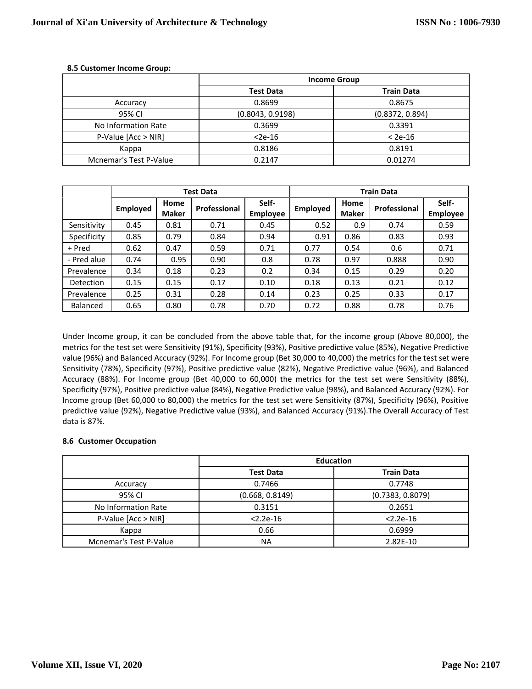|                        | <b>Income Group</b> |                   |  |  |  |
|------------------------|---------------------|-------------------|--|--|--|
|                        | <b>Test Data</b>    | <b>Train Data</b> |  |  |  |
| Accuracy               | 0.8699              | 0.8675            |  |  |  |
| 95% CI                 | (0.8043, 0.9198)    | (0.8372, 0.894)   |  |  |  |
| No Information Rate    | 0.3699              | 0.3391            |  |  |  |
| $P-Value$ [Acc > NIR]  | $<$ 2e-16           | $< 2e-16$         |  |  |  |
| Kappa                  | 0.8186              | 0.8191            |  |  |  |
| Mcnemar's Test P-Value | 0.2147              | 0.01274           |  |  |  |

#### **8.5 Customer Income Group:**

|             |                 |                      | <b>Test Data</b>    |                          | <b>Train Data</b> |                      |              |                          |
|-------------|-----------------|----------------------|---------------------|--------------------------|-------------------|----------------------|--------------|--------------------------|
|             | <b>Employed</b> | Home<br><b>Maker</b> | <b>Professional</b> | Self-<br><b>Employee</b> | <b>Employed</b>   | Home<br><b>Maker</b> | Professional | Self-<br><b>Employee</b> |
| Sensitivity | 0.45            | 0.81                 | 0.71                | 0.45                     | 0.52              | 0.9                  | 0.74         | 0.59                     |
| Specificity | 0.85            | 0.79                 | 0.84                | 0.94                     | 0.91              | 0.86                 | 0.83         | 0.93                     |
| + Pred      | 0.62            | 0.47                 | 0.59                | 0.71                     | 0.77              | 0.54                 | 0.6          | 0.71                     |
| - Pred alue | 0.74            | 0.95                 | 0.90                | 0.8                      | 0.78              | 0.97                 | 0.888        | 0.90                     |
| Prevalence  | 0.34            | 0.18                 | 0.23                | 0.2                      | 0.34              | 0.15                 | 0.29         | 0.20                     |
| Detection   | 0.15            | 0.15                 | 0.17                | 0.10                     | 0.18              | 0.13                 | 0.21         | 0.12                     |
| Prevalence  | 0.25            | 0.31                 | 0.28                | 0.14                     | 0.23              | 0.25                 | 0.33         | 0.17                     |
| Balanced    | 0.65            | 0.80                 | 0.78                | 0.70                     | 0.72              | 0.88                 | 0.78         | 0.76                     |

Under Income group, it can be concluded from the above table that, for the income group (Above 80,000), the metrics for the test set were Sensitivity (91%), Specificity (93%), Positive predictive value (85%), Negative Predictive value (96%) and Balanced Accuracy (92%). For Income group (Bet 30,000 to 40,000) the metrics for the test set were Sensitivity (78%), Specificity (97%), Positive predictive value (82%), Negative Predictive value (96%), and Balanced Accuracy (88%). For Income group (Bet 40,000 to 60,000) the metrics for the test set were Sensitivity (88%), Specificity (97%), Positive predictive value (84%), Negative Predictive value (98%), and Balanced Accuracy (92%). For Income group (Bet 60,000 to 80,000) the metrics for the test set were Sensitivity (87%), Specificity (96%), Positive predictive value (92%), Negative Predictive value (93%), and Balanced Accuracy (91%).The Overall Accuracy of Test data is 87%.

#### **8.6 Customer Occupation**

|                        | <b>Education</b> |                   |  |  |  |
|------------------------|------------------|-------------------|--|--|--|
|                        | <b>Test Data</b> | <b>Train Data</b> |  |  |  |
| Accuracy               | 0.7466           | 0.7748            |  |  |  |
| 95% CI                 | (0.668, 0.8149)  | (0.7383, 0.8079)  |  |  |  |
| No Information Rate    | 0.3151           | 0.2651            |  |  |  |
| P-Value [Acc > NIR]    | $< 2.2e-16$      | $< 2.2e-16$       |  |  |  |
| Kappa                  | 0.66             | 0.6999            |  |  |  |
| Mcnemar's Test P-Value | <b>NA</b>        | 2.82E-10          |  |  |  |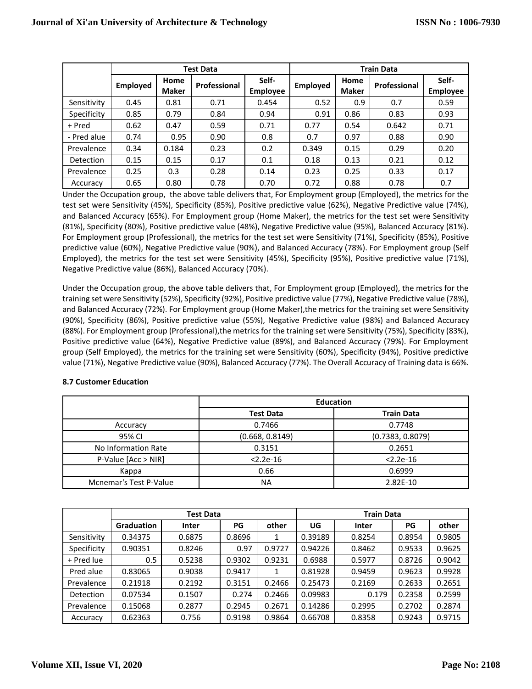|             |                 |                      | <b>Test Data</b>    |                          | <b>Train Data</b> |                      |              |                          |
|-------------|-----------------|----------------------|---------------------|--------------------------|-------------------|----------------------|--------------|--------------------------|
|             | <b>Employed</b> | Home<br><b>Maker</b> | <b>Professional</b> | Self-<br><b>Employee</b> | <b>Employed</b>   | Home<br><b>Maker</b> | Professional | Self-<br><b>Employee</b> |
| Sensitivity | 0.45            | 0.81                 | 0.71                | 0.454                    | 0.52              | 0.9                  | 0.7          | 0.59                     |
| Specificity | 0.85            | 0.79                 | 0.84                | 0.94                     | 0.91              | 0.86                 | 0.83         | 0.93                     |
| + Pred      | 0.62            | 0.47                 | 0.59                | 0.71                     | 0.77              | 0.54                 | 0.642        | 0.71                     |
| - Pred alue | 0.74            | 0.95                 | 0.90                | 0.8                      | 0.7               | 0.97                 | 0.88         | 0.90                     |
| Prevalence  | 0.34            | 0.184                | 0.23                | 0.2                      | 0.349             | 0.15                 | 0.29         | 0.20                     |
| Detection   | 0.15            | 0.15                 | 0.17                | 0.1                      | 0.18              | 0.13                 | 0.21         | 0.12                     |
| Prevalence  | 0.25            | 0.3                  | 0.28                | 0.14                     | 0.23              | 0.25                 | 0.33         | 0.17                     |
| Accuracy    | 0.65            | 0.80                 | 0.78                | 0.70                     | 0.72              | 0.88                 | 0.78         | 0.7                      |

Under the Occupation group, the above table delivers that, For Employment group (Employed), the metrics for the test set were Sensitivity (45%), Specificity (85%), Positive predictive value (62%), Negative Predictive value (74%), and Balanced Accuracy (65%). For Employment group (Home Maker), the metrics for the test set were Sensitivity (81%), Specificity (80%), Positive predictive value (48%), Negative Predictive value (95%), Balanced Accuracy (81%). For Employment group (Professional), the metrics for the test set were Sensitivity (71%), Specificity (85%), Positive predictive value (60%), Negative Predictive value (90%), and Balanced Accuracy (78%). For Employment group (Self Employed), the metrics for the test set were Sensitivity (45%), Specificity (95%), Positive predictive value (71%), Negative Predictive value (86%), Balanced Accuracy (70%).

Under the Occupation group, the above table delivers that, For Employment group (Employed), the metrics for the training set were Sensitivity (52%), Specificity (92%), Positive predictive value (77%), Negative Predictive value (78%), and Balanced Accuracy (72%). For Employment group (Home Maker),the metrics for the training set were Sensitivity (90%), Specificity (86%), Positive predictive value (55%), Negative Predictive value (98%) and Balanced Accuracy (88%). For Employment group (Professional),the metrics for the training set were Sensitivity (75%), Specificity (83%), Positive predictive value (64%), Negative Predictive value (89%), and Balanced Accuracy (79%). For Employment group (Self Employed), the metrics for the training set were Sensitivity (60%), Specificity (94%), Positive predictive value (71%), Negative Predictive value (90%), Balanced Accuracy (77%). The Overall Accuracy of Training data is 66%.

|                               | <b>Education</b> |                   |  |  |  |
|-------------------------------|------------------|-------------------|--|--|--|
|                               | <b>Test Data</b> | <b>Train Data</b> |  |  |  |
| Accuracy                      | 0.7466           | 0.7748            |  |  |  |
| 95% CI                        | (0.668, 0.8149)  | (0.7383, 0.8079)  |  |  |  |
| No Information Rate           | 0.3151           | 0.2651            |  |  |  |
| P-Value [Acc > NIR]           | $< 2.2e-16$      | $< 2.2e-16$       |  |  |  |
| Kappa                         | 0.66             | 0.6999            |  |  |  |
| <b>Mcnemar's Test P-Value</b> | NA               | 2.82E-10          |  |  |  |

|                  | Test Data         |              |             |        | <b>Train Data</b> |              |        |        |  |
|------------------|-------------------|--------------|-------------|--------|-------------------|--------------|--------|--------|--|
|                  | <b>Graduation</b> | <b>Inter</b> | other<br>PG |        | UG                | <b>Inter</b> | PG     | other  |  |
| Sensitivity      | 0.34375           | 0.6875       | 0.8696      | 1      | 0.39189           | 0.8254       | 0.8954 | 0.9805 |  |
| Specificity      | 0.90351           | 0.8246       | 0.97        | 0.9727 | 0.94226           | 0.8462       | 0.9533 | 0.9625 |  |
| + Pred lue       | 0.5               | 0.5238       | 0.9302      | 0.9231 | 0.6988            | 0.5977       | 0.8726 | 0.9042 |  |
| Pred alue        | 0.83065           | 0.9038       | 0.9417      | 1      | 0.81928           | 0.9459       | 0.9623 | 0.9928 |  |
| Prevalence       | 0.21918           | 0.2192       | 0.3151      | 0.2466 | 0.25473           | 0.2169       | 0.2633 | 0.2651 |  |
| <b>Detection</b> | 0.07534           | 0.1507       | 0.274       | 0.2466 | 0.09983           | 0.179        | 0.2358 | 0.2599 |  |
| Prevalence       | 0.15068           | 0.2877       | 0.2945      | 0.2671 | 0.14286           | 0.2995       | 0.2702 | 0.2874 |  |
| Accuracy         | 0.62363           | 0.756        | 0.9198      | 0.9864 | 0.66708           | 0.8358       | 0.9243 | 0.9715 |  |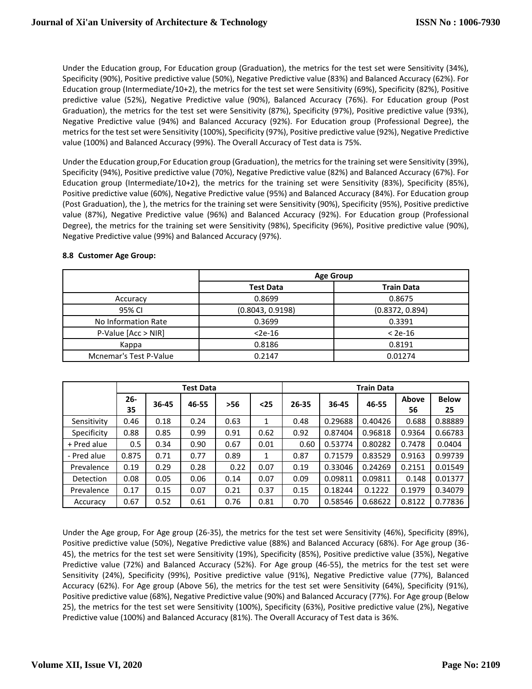Under the Education group, For Education group (Graduation), the metrics for the test set were Sensitivity (34%), Specificity (90%), Positive predictive value (50%), Negative Predictive value (83%) and Balanced Accuracy (62%). For Education group (Intermediate/10+2), the metrics for the test set were Sensitivity (69%), Specificity (82%), Positive predictive value (52%), Negative Predictive value (90%), Balanced Accuracy (76%). For Education group (Post Graduation), the metrics for the test set were Sensitivity (87%), Specificity (97%), Positive predictive value (93%), Negative Predictive value (94%) and Balanced Accuracy (92%). For Education group (Professional Degree), the metrics for the test set were Sensitivity (100%), Specificity (97%), Positive predictive value (92%), Negative Predictive value (100%) and Balanced Accuracy (99%). The Overall Accuracy of Test data is 75%.

Under the Education group,For Education group (Graduation), the metrics for the training set were Sensitivity (39%), Specificity (94%), Positive predictive value (70%), Negative Predictive value (82%) and Balanced Accuracy (67%). For Education group (Intermediate/10+2), the metrics for the training set were Sensitivity (83%), Specificity (85%), Positive predictive value (60%), Negative Predictive value (95%) and Balanced Accuracy (84%). For Education group (Post Graduation), the ), the metrics for the training set were Sensitivity (90%), Specificity (95%), Positive predictive value (87%), Negative Predictive value (96%) and Balanced Accuracy (92%). For Education group (Professional Degree), the metrics for the training set were Sensitivity (98%), Specificity (96%), Positive predictive value (90%), Negative Predictive value (99%) and Balanced Accuracy (97%).

|                        | <b>Age Group</b> |                   |  |  |  |
|------------------------|------------------|-------------------|--|--|--|
|                        | <b>Test Data</b> | <b>Train Data</b> |  |  |  |
| Accuracy               | 0.8699           | 0.8675            |  |  |  |
| 95% CI                 | (0.8043, 0.9198) | (0.8372, 0.894)   |  |  |  |
| No Information Rate    | 0.3699           | 0.3391            |  |  |  |
| P-Value [Acc > NIR]    | $2e-16$          | $< 2e-16$         |  |  |  |
| Kappa                  | 0.8186           | 0.8191            |  |  |  |
| Mcnemar's Test P-Value | 0.2147           | 0.01274           |  |  |  |

#### **8.8 Customer Age Group:**

|             | Test Data    |       |       |       | <b>Train Data</b> |       |         |         |                    |                    |
|-------------|--------------|-------|-------|-------|-------------------|-------|---------|---------|--------------------|--------------------|
|             | $26 -$<br>35 | 36-45 | 46-55 | $>56$ | $25$              | 26-35 | 36-45   | 46-55   | <b>Above</b><br>56 | <b>Below</b><br>25 |
| Sensitivity | 0.46         | 0.18  | 0.24  | 0.63  | 1                 | 0.48  | 0.29688 | 0.40426 | 0.688              | 0.88889            |
| Specificity | 0.88         | 0.85  | 0.99  | 0.91  | 0.62              | 0.92  | 0.87404 | 0.96818 | 0.9364             | 0.66783            |
| + Pred alue | 0.5          | 0.34  | 0.90  | 0.67  | 0.01              | 0.60  | 0.53774 | 0.80282 | 0.7478             | 0.0404             |
| - Pred alue | 0.875        | 0.71  | 0.77  | 0.89  | 1                 | 0.87  | 0.71579 | 0.83529 | 0.9163             | 0.99739            |
| Prevalence  | 0.19         | 0.29  | 0.28  | 0.22  | 0.07              | 0.19  | 0.33046 | 0.24269 | 0.2151             | 0.01549            |
| Detection   | 0.08         | 0.05  | 0.06  | 0.14  | 0.07              | 0.09  | 0.09811 | 0.09811 | 0.148              | 0.01377            |
| Prevalence  | 0.17         | 0.15  | 0.07  | 0.21  | 0.37              | 0.15  | 0.18244 | 0.1222  | 0.1979             | 0.34079            |
| Accuracy    | 0.67         | 0.52  | 0.61  | 0.76  | 0.81              | 0.70  | 0.58546 | 0.68622 | 0.8122             | 0.77836            |

Under the Age group, For Age group (26-35), the metrics for the test set were Sensitivity (46%), Specificity (89%), Positive predictive value (50%), Negative Predictive value (88%) and Balanced Accuracy (68%). For Age group (36- 45), the metrics for the test set were Sensitivity (19%), Specificity (85%), Positive predictive value (35%), Negative Predictive value (72%) and Balanced Accuracy (52%). For Age group (46-55), the metrics for the test set were Sensitivity (24%), Specificity (99%), Positive predictive value (91%), Negative Predictive value (77%), Balanced Accuracy (62%). For Age group (Above 56), the metrics for the test set were Sensitivity (64%), Specificity (91%), Positive predictive value (68%), Negative Predictive value (90%) and Balanced Accuracy (77%). For Age group (Below 25), the metrics for the test set were Sensitivity (100%), Specificity (63%), Positive predictive value (2%), Negative Predictive value (100%) and Balanced Accuracy (81%). The Overall Accuracy of Test data is 36%.